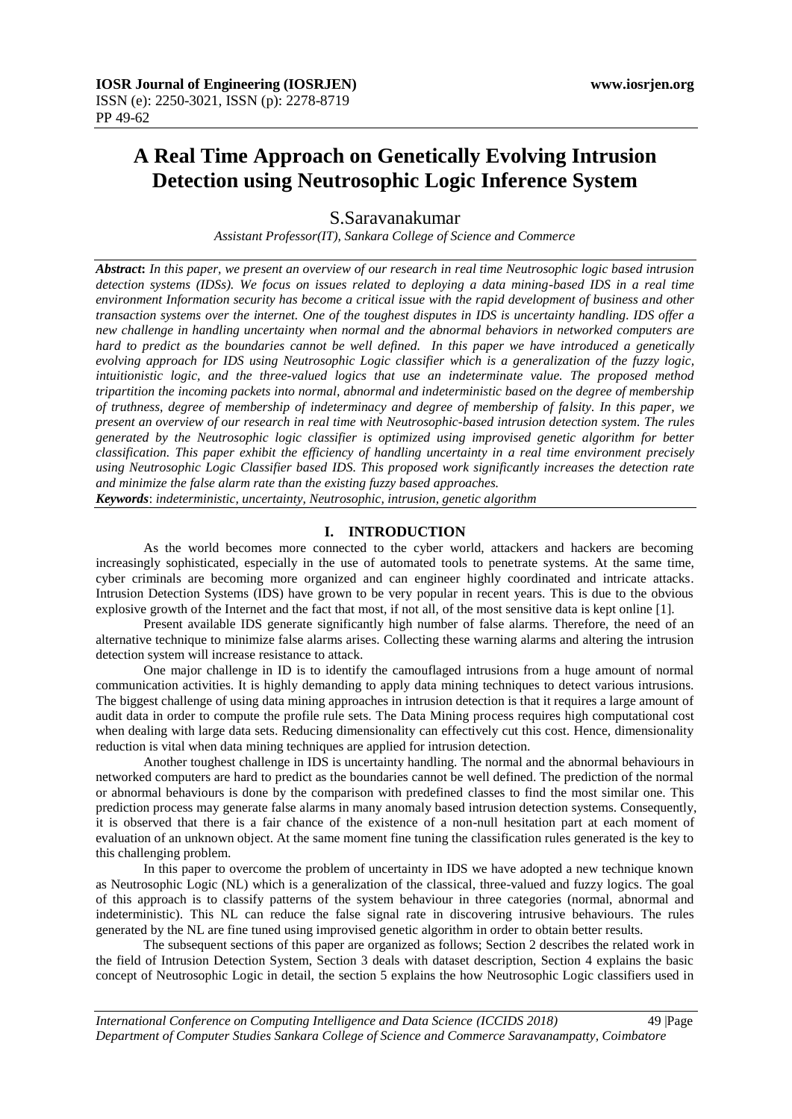# **A Real Time Approach on Genetically Evolving Intrusion Detection using Neutrosophic Logic Inference System**

S.Saravanakumar

*Assistant Professor(IT), Sankara College of Science and Commerce*

*Abstract***:** *In this paper, we present an overview of our research in real time Neutrosophic logic based intrusion detection systems (IDSs). We focus on issues related to deploying a data mining-based IDS in a real time environment Information security has become a critical issue with the rapid development of business and other transaction systems over the internet. One of the toughest disputes in IDS is uncertainty handling. IDS offer a new challenge in handling uncertainty when normal and the abnormal behaviors in networked computers are hard to predict as the boundaries cannot be well defined. In this paper we have introduced a genetically evolving approach for IDS using Neutrosophic Logic classifier which is a generalization of the fuzzy logic, intuitionistic logic, and the three-valued logics that use an indeterminate value. The proposed method tripartition the incoming packets into normal, abnormal and indeterministic based on the degree of membership of truthness, degree of membership of indeterminacy and degree of membership of falsity. In this paper, we present an overview of our research in real time with Neutrosophic-based intrusion detection system. The rules generated by the Neutrosophic logic classifier is optimized using improvised genetic algorithm for better classification. This paper exhibit the efficiency of handling uncertainty in a real time environment precisely using Neutrosophic Logic Classifier based IDS. This proposed work significantly increases the detection rate and minimize the false alarm rate than the existing fuzzy based approaches.*

*Keywords*: *indeterministic, uncertainty, Neutrosophic, intrusion, genetic algorithm*

### **I. INTRODUCTION**

As the world becomes more connected to the cyber world, attackers and hackers are becoming increasingly sophisticated, especially in the use of automated tools to penetrate systems. At the same time, cyber criminals are becoming more organized and can engineer highly coordinated and intricate attacks. Intrusion Detection Systems (IDS) have grown to be very popular in recent years. This is due to the obvious explosive growth of the Internet and the fact that most, if not all, of the most sensitive data is kept online [1].

Present available IDS generate significantly high number of false alarms. Therefore, the need of an alternative technique to minimize false alarms arises. Collecting these warning alarms and altering the intrusion detection system will increase resistance to attack.

One major challenge in ID is to identify the camouflaged intrusions from a huge amount of normal communication activities. It is highly demanding to apply data mining techniques to detect various intrusions. The biggest challenge of using data mining approaches in intrusion detection is that it requires a large amount of audit data in order to compute the profile rule sets. The Data Mining process requires high computational cost when dealing with large data sets. Reducing dimensionality can effectively cut this cost. Hence, dimensionality reduction is vital when data mining techniques are applied for intrusion detection.

Another toughest challenge in IDS is uncertainty handling. The normal and the abnormal behaviours in networked computers are hard to predict as the boundaries cannot be well defined. The prediction of the normal or abnormal behaviours is done by the comparison with predefined classes to find the most similar one. This prediction process may generate false alarms in many anomaly based intrusion detection systems. Consequently, it is observed that there is a fair chance of the existence of a non-null hesitation part at each moment of evaluation of an unknown object. At the same moment fine tuning the classification rules generated is the key to this challenging problem.

In this paper to overcome the problem of uncertainty in IDS we have adopted a new technique known as Neutrosophic Logic (NL) which is a generalization of the classical, three-valued and fuzzy logics. The goal of this approach is to classify patterns of the system behaviour in three categories (normal, abnormal and indeterministic). This NL can reduce the false signal rate in discovering intrusive behaviours. The rules generated by the NL are fine tuned using improvised genetic algorithm in order to obtain better results.

The subsequent sections of this paper are organized as follows; Section 2 describes the related work in the field of Intrusion Detection System, Section 3 deals with dataset description, Section 4 explains the basic concept of Neutrosophic Logic in detail, the section 5 explains the how Neutrosophic Logic classifiers used in

*International Conference on Computing Intelligence and Data Science (ICCIDS 2018)*49 |Page *Department of Computer Studies Sankara College of Science and Commerce Saravanampatty, Coimbatore*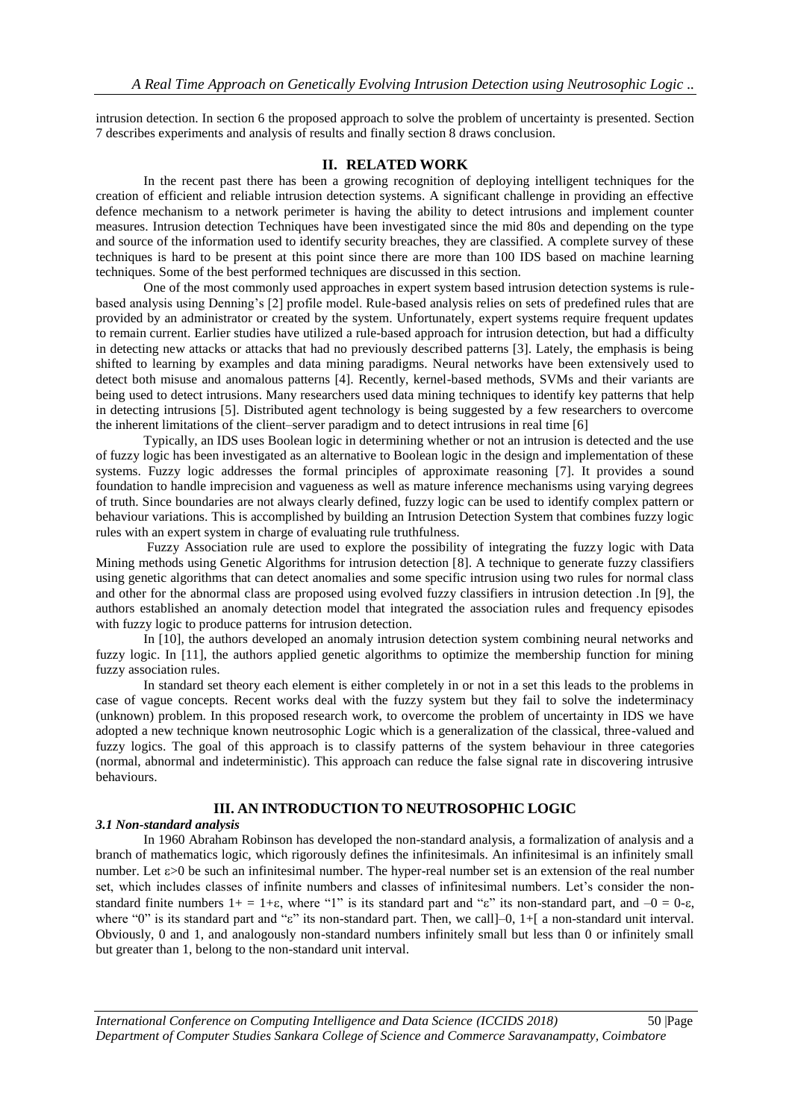intrusion detection. In section 6 the proposed approach to solve the problem of uncertainty is presented. Section 7 describes experiments and analysis of results and finally section 8 draws conclusion.

#### **II. RELATED WORK**

In the recent past there has been a growing recognition of deploying intelligent techniques for the creation of efficient and reliable intrusion detection systems. A significant challenge in providing an effective defence mechanism to a network perimeter is having the ability to detect intrusions and implement counter measures. Intrusion detection Techniques have been investigated since the mid 80s and depending on the type and source of the information used to identify security breaches, they are classified. A complete survey of these techniques is hard to be present at this point since there are more than 100 IDS based on machine learning techniques. Some of the best performed techniques are discussed in this section.

One of the most commonly used approaches in expert system based intrusion detection systems is rulebased analysis using Denning"s [2] profile model. Rule-based analysis relies on sets of predefined rules that are provided by an administrator or created by the system. Unfortunately, expert systems require frequent updates to remain current. Earlier studies have utilized a rule-based approach for intrusion detection, but had a difficulty in detecting new attacks or attacks that had no previously described patterns [3]. Lately, the emphasis is being shifted to learning by examples and data mining paradigms. Neural networks have been extensively used to detect both misuse and anomalous patterns [4]. Recently, kernel-based methods, SVMs and their variants are being used to detect intrusions. Many researchers used data mining techniques to identify key patterns that help in detecting intrusions [5]. Distributed agent technology is being suggested by a few researchers to overcome the inherent limitations of the client–server paradigm and to detect intrusions in real time [6]

Typically, an IDS uses Boolean logic in determining whether or not an intrusion is detected and the use of fuzzy logic has been investigated as an alternative to Boolean logic in the design and implementation of these systems. Fuzzy logic addresses the formal principles of approximate reasoning [7]. It provides a sound foundation to handle imprecision and vagueness as well as mature inference mechanisms using varying degrees of truth. Since boundaries are not always clearly defined, fuzzy logic can be used to identify complex pattern or behaviour variations. This is accomplished by building an Intrusion Detection System that combines fuzzy logic rules with an expert system in charge of evaluating rule truthfulness.

Fuzzy Association rule are used to explore the possibility of integrating the fuzzy logic with Data Mining methods using Genetic Algorithms for intrusion detection [8]. A technique to generate fuzzy classifiers using genetic algorithms that can detect anomalies and some specific intrusion using two rules for normal class and other for the abnormal class are proposed using evolved fuzzy classifiers in intrusion detection .In [9], the authors established an anomaly detection model that integrated the association rules and frequency episodes with fuzzy logic to produce patterns for intrusion detection.

In [10], the authors developed an anomaly intrusion detection system combining neural networks and fuzzy logic. In [11], the authors applied genetic algorithms to optimize the membership function for mining fuzzy association rules.

In standard set theory each element is either completely in or not in a set this leads to the problems in case of vague concepts. Recent works deal with the fuzzy system but they fail to solve the indeterminacy (unknown) problem. In this proposed research work, to overcome the problem of uncertainty in IDS we have adopted a new technique known neutrosophic Logic which is a generalization of the classical, three-valued and fuzzy logics. The goal of this approach is to classify patterns of the system behaviour in three categories (normal, abnormal and indeterministic). This approach can reduce the false signal rate in discovering intrusive behaviours.

# **III. AN INTRODUCTION TO NEUTROSOPHIC LOGIC**

#### *3.1 Non-standard analysis*

In 1960 Abraham Robinson has developed the non-standard analysis, a formalization of analysis and a branch of mathematics logic, which rigorously defines the infinitesimals. An infinitesimal is an infinitely small number. Let  $\varepsilon > 0$  be such an infinitesimal number. The hyper-real number set is an extension of the real number set, which includes classes of infinite numbers and classes of infinitesimal numbers. Let"s consider the nonstandard finite numbers  $1+ = 1+\epsilon$ , where "1" is its standard part and " $\epsilon$ " its non-standard part, and  $-0 = 0-\epsilon$ , where "0" is its standard part and " $\varepsilon$ " its non-standard part. Then, we call  $]-0$ ,  $1+[$  a non-standard unit interval. Obviously, 0 and 1, and analogously non-standard numbers infinitely small but less than 0 or infinitely small but greater than 1, belong to the non-standard unit interval.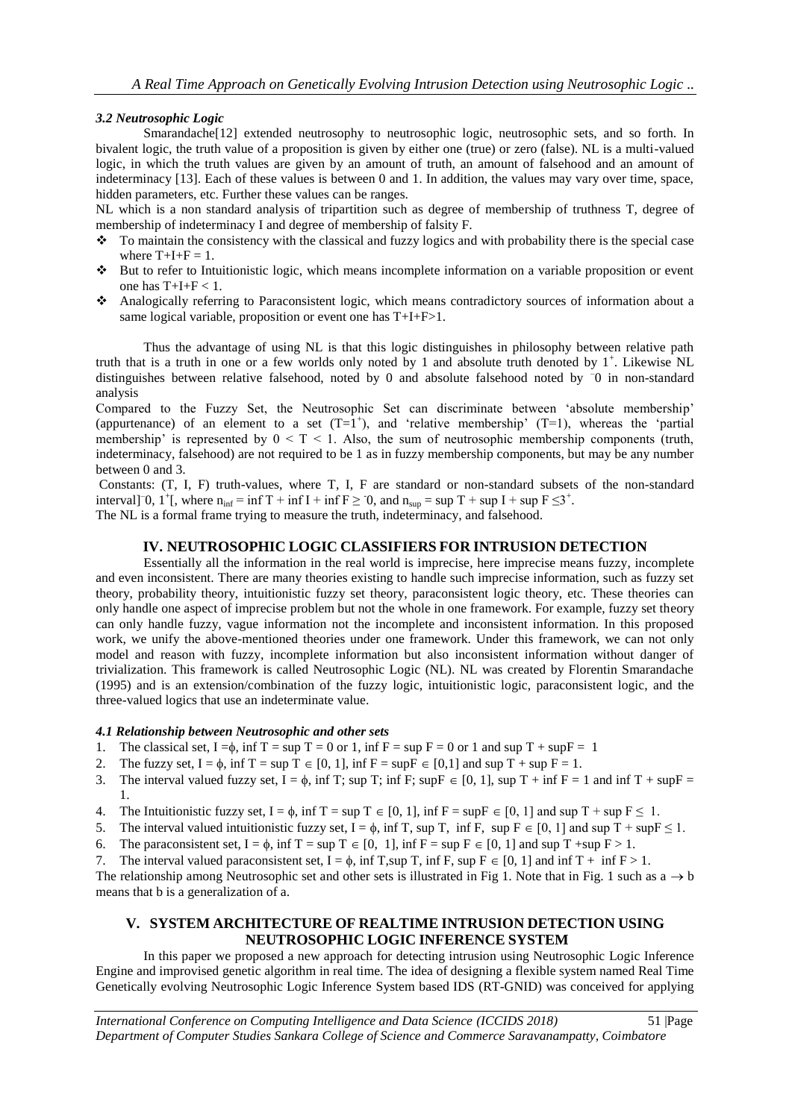## *3.2 Neutrosophic Logic*

Smarandache<sup>[12]</sup> extended neutrosophy to neutrosophic logic, neutrosophic sets, and so forth. In bivalent logic, the truth value of a proposition is given by either one (true) or zero (false). NL is a multi-valued logic, in which the truth values are given by an amount of truth, an amount of falsehood and an amount of indeterminacy [13]. Each of these values is between 0 and 1. In addition, the values may vary over time, space, hidden parameters, etc. Further these values can be ranges.

NL which is a non standard analysis of tripartition such as degree of membership of truthness T, degree of membership of indeterminacy I and degree of membership of falsity F.

- To maintain the consistency with the classical and fuzzy logics and with probability there is the special case where  $T+I+F = 1$ .
- But to refer to Intuitionistic logic, which means incomplete information on a variable proposition or event one has  $T+I+F < 1$ .
- Analogically referring to Paraconsistent logic, which means contradictory sources of information about a same logical variable, proposition or event one has T+I+F>1.

Thus the advantage of using NL is that this logic distinguishes in philosophy between relative path truth that is a truth in one or a few worlds only noted by 1 and absolute truth denoted by  $1^+$ . Likewise NL distinguishes between relative falsehood, noted by 0 and absolute falsehood noted by – 0 in non-standard analysis

Compared to the Fuzzy Set, the Neutrosophic Set can discriminate between "absolute membership" (appurtenance) of an element to a set  $(T=1^+)$ , and 'relative membership'  $(T=1)$ , whereas the 'partial membership' is represented by  $0 \leq T \leq 1$ . Also, the sum of neutrosophic membership components (truth, indeterminacy, falsehood) are not required to be 1 as in fuzzy membership components, but may be any number between 0 and 3.

Constants: (T, I, F) truth-values, where T, I, F are standard or non-standard subsets of the non-standard interval]<sup>-</sup>0, 1<sup>+</sup>[, where  $n_{inf} = inf T + inf I + inf F \ge 0$ , and  $n_{sup} = sup T + sup I + sup F \le 3^+$ .

The NL is a formal frame trying to measure the truth, indeterminacy, and falsehood.

#### **IV. NEUTROSOPHIC LOGIC CLASSIFIERS FOR INTRUSION DETECTION**

Essentially all the information in the real world is imprecise, here imprecise means fuzzy, incomplete and even inconsistent. There are many theories existing to handle such imprecise information, such as fuzzy set theory, probability theory, intuitionistic fuzzy set theory, paraconsistent logic theory, etc. These theories can only handle one aspect of imprecise problem but not the whole in one framework. For example, fuzzy set theory can only handle fuzzy, vague information not the incomplete and inconsistent information. In this proposed work, we unify the above-mentioned theories under one framework. Under this framework, we can not only model and reason with fuzzy, incomplete information but also inconsistent information without danger of trivialization. This framework is called Neutrosophic Logic (NL). NL was created by Florentin Smarandache (1995) and is an extension/combination of the fuzzy logic, intuitionistic logic, paraconsistent logic, and the three-valued logics that use an indeterminate value.

#### *4.1 Relationship between Neutrosophic and other sets*

- 1. The classical set,  $I = \phi$ , inf  $T = \sup T = 0$  or 1, inf  $F = \sup F = 0$  or 1 and sup  $T + \sup F = 1$
- 2. The fuzzy set,  $I = \phi$ , inf  $T = \sup T \in [0, 1]$ , inf  $F = \sup F \in [0, 1]$  and sup  $T + \sup F = 1$ .
- 3. The interval valued fuzzy set,  $I = \phi$ , inf T; sup T; inf F; sup  $F \in [0, 1]$ , sup T + inf F = 1 and inf T + sup F = 1.
- 4. The Intuitionistic fuzzy set,  $I = \phi$ , inf  $T = \sup T \in [0, 1]$ , inf  $F = \sup F \in [0, 1]$  and sup  $T + \sup F \le 1$ .
- 5. The interval valued intuitionistic fuzzy set,  $I = \phi$ , inf T, sup T, inf F, sup  $F \in [0, 1]$  and sup T + sup  $F \le 1$ .
- 6. The paraconsistent set,  $I = \phi$ , inf  $T = \sup T \in [0, 1]$ , inf  $F = \sup F \in [0, 1]$  and sup T +sup  $F > 1$ .
- 7. The interval valued paraconsistent set,  $I = \phi$ , inf T, sup T, inf F, sup F  $\in [0, 1]$  and inf T + inf F > 1.

The relationship among Neutrosophic set and other sets is illustrated in Fig 1. Note that in Fig. 1 such as  $a \rightarrow b$ means that b is a generalization of a.

# **V. SYSTEM ARCHITECTURE OF REALTIME INTRUSION DETECTION USING NEUTROSOPHIC LOGIC INFERENCE SYSTEM**

In this paper we proposed a new approach for detecting intrusion using Neutrosophic Logic Inference Engine and improvised genetic algorithm in real time. The idea of designing a flexible system named Real Time Genetically evolving Neutrosophic Logic Inference System based IDS (RT-GNID) was conceived for applying

*International Conference on Computing Intelligence and Data Science (ICCIDS 2018)*51 |Page *Department of Computer Studies Sankara College of Science and Commerce Saravanampatty, Coimbatore*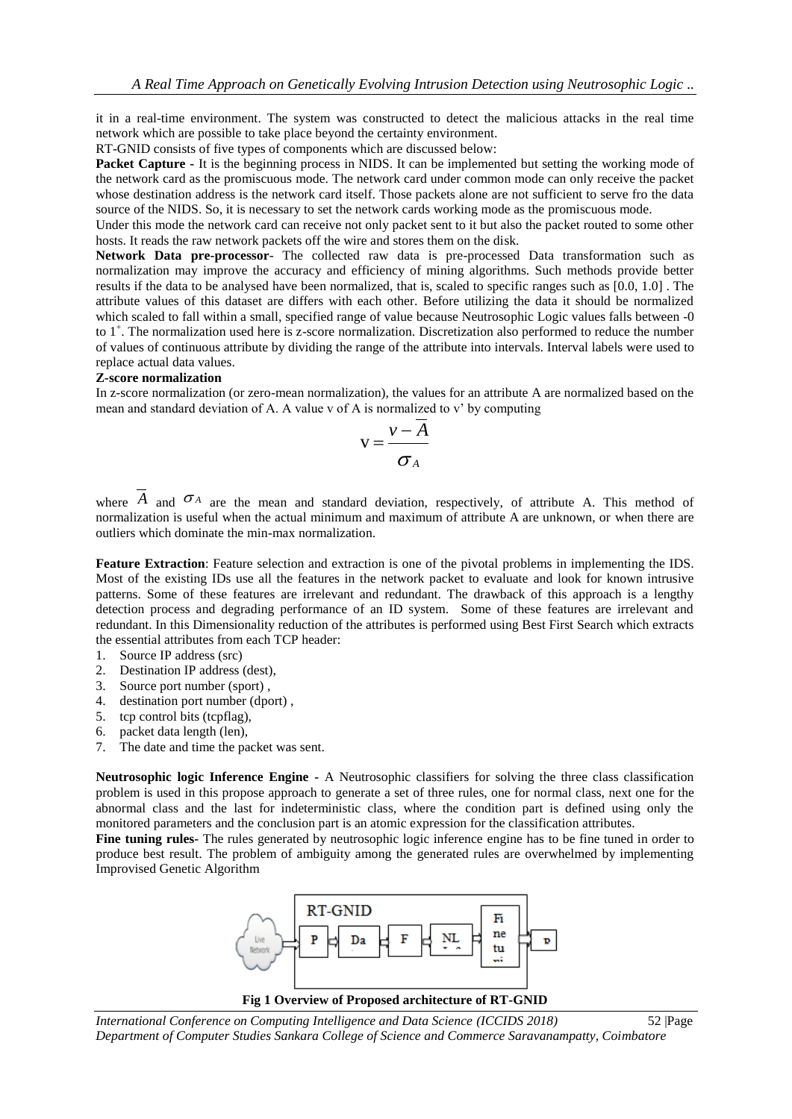it in a real-time environment. The system was constructed to detect the malicious attacks in the real time network which are possible to take place beyond the certainty environment.

RT-GNID consists of five types of components which are discussed below:

**Packet Capture -** It is the beginning process in NIDS. It can be implemented but setting the working mode of the network card as the promiscuous mode. The network card under common mode can only receive the packet whose destination address is the network card itself. Those packets alone are not sufficient to serve fro the data source of the NIDS. So, it is necessary to set the network cards working mode as the promiscuous mode.

Under this mode the network card can receive not only packet sent to it but also the packet routed to some other hosts. It reads the raw network packets off the wire and stores them on the disk.

**Network Data pre-processor**- The collected raw data is pre-processed Data transformation such as normalization may improve the accuracy and efficiency of mining algorithms. Such methods provide better results if the data to be analysed have been normalized, that is, scaled to specific ranges such as [0.0, 1.0] . The attribute values of this dataset are differs with each other. Before utilizing the data it should be normalized which scaled to fall within a small, specified range of value because Neutrosophic Logic values falls between -0 to 1<sup>+</sup>. The normalization used here is z-score normalization. Discretization also performed to reduce the number of values of continuous attribute by dividing the range of the attribute into intervals. Interval labels were used to replace actual data values.

#### **Z-score normalization**

In z-score normalization (or zero-mean normalization), the values for an attribute A are normalized based on the mean and standard deviation of A. A value v of A is normalized to v" by computing

$$
v = \frac{v - A}{\sigma_A}
$$

where  $\hat{A}$  and  $\hat{A}$  are the mean and standard deviation, respectively, of attribute A. This method of normalization is useful when the actual minimum and maximum of attribute A are unknown, or when there are outliers which dominate the min-max normalization.

**Feature Extraction**: Feature selection and extraction is one of the pivotal problems in implementing the IDS. Most of the existing IDs use all the features in the network packet to evaluate and look for known intrusive patterns. Some of these features are irrelevant and redundant. The drawback of this approach is a lengthy detection process and degrading performance of an ID system. Some of these features are irrelevant and redundant. In this Dimensionality reduction of the attributes is performed using Best First Search which extracts the essential attributes from each TCP header:

- 1. Source IP address (src)
- 2. Destination IP address (dest),
- 3. Source port number (sport) ,
- 4. destination port number (dport) ,
- 5. tcp control bits (tcpflag),
- 6. packet data length (len),
- 7. The date and time the packet was sent.

**Neutrosophic logic Inference Engine -** A Neutrosophic classifiers for solving the three class classification problem is used in this propose approach to generate a set of three rules, one for normal class, next one for the abnormal class and the last for indeterministic class, where the condition part is defined using only the monitored parameters and the conclusion part is an atomic expression for the classification attributes.

**Fine tuning rules-** The rules generated by neutrosophic logic inference engine has to be fine tuned in order to produce best result. The problem of ambiguity among the generated rules are overwhelmed by implementing Improvised Genetic Algorithm



*International Conference on Computing Intelligence and Data Science (ICCIDS 2018)*52 |Page *Department of Computer Studies Sankara College of Science and Commerce Saravanampatty, Coimbatore*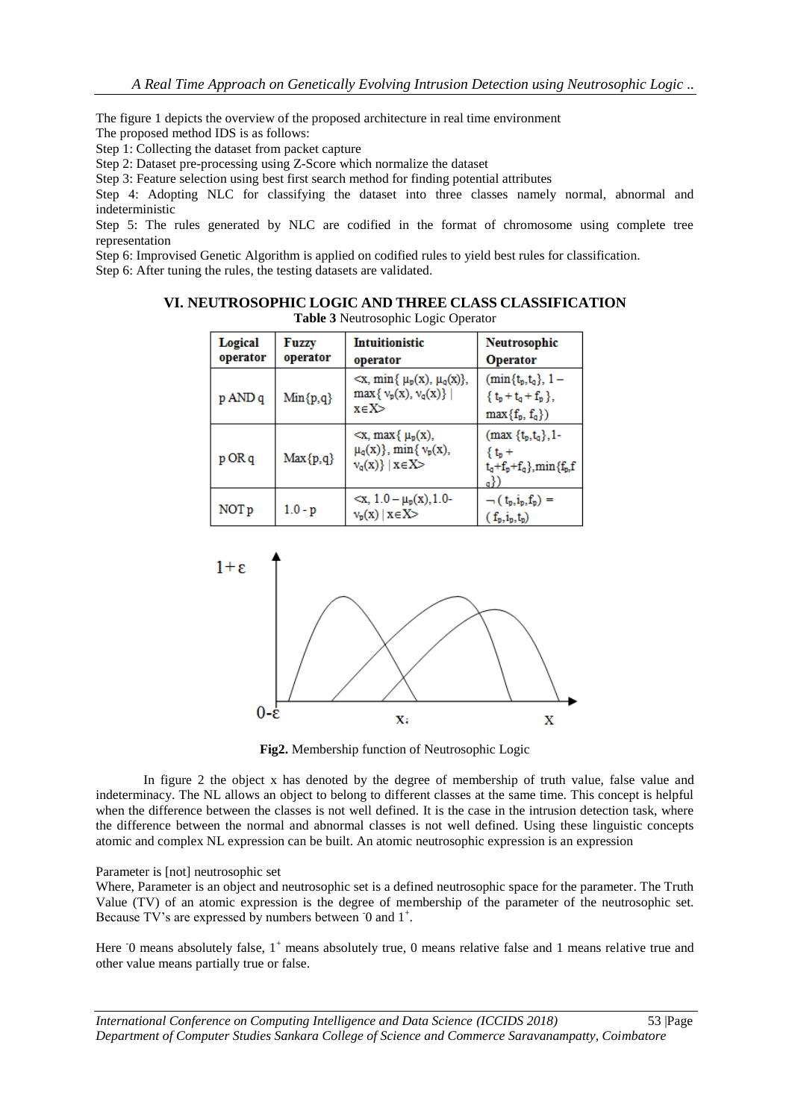The figure 1 depicts the overview of the proposed architecture in real time environment The proposed method IDS is as follows:

Step 1: Collecting the dataset from packet capture

Step 2: Dataset pre-processing using Z-Score which normalize the dataset

Step 3: Feature selection using best first search method for finding potential attributes

Step 4: Adopting NLC for classifying the dataset into three classes namely normal, abnormal and indeterministic

Step 5: The rules generated by NLC are codified in the format of chromosome using complete tree representation

Step 6: Improvised Genetic Algorithm is applied on codified rules to yield best rules for classification.

Step 6: After tuning the rules, the testing datasets are validated.

| <b>Table 3</b> Neutrosophic Logic Operator |                          |                                                                                                   |                                                                                                      |  |  |  |  |  |  |
|--------------------------------------------|--------------------------|---------------------------------------------------------------------------------------------------|------------------------------------------------------------------------------------------------------|--|--|--|--|--|--|
| Logical<br>operator                        | <b>Fuzzy</b><br>operator | <b>Intuitionistic</b><br>operator                                                                 | <b>Neutrosophic</b><br><b>Operator</b>                                                               |  |  |  |  |  |  |
| p AND q                                    | $Min{p,q}$               | $\langle x, \min\{\mu_p(x), \mu_q(x)\},\rangle$<br>$\max\{v_p(x), v_q(x)\}\$<br>x∈X>              | $(min{tp, tq}, 1 -$<br>$\{t_{p}+t_{q}+f_{p}\},$<br>$max{f_p, f_q}$                                   |  |  |  |  |  |  |
| p OR q                                     | $Max{p,q}$               | $\langle x, \max\{\mu_p(x),\}$<br>$\mu_q(x)$ , min{ $\nu_p(x)$ ,<br>$v_{\alpha}(x)\}\mid x\in X>$ | $(max {t_p,t_q},1$ -<br>$\{t_{p}+$<br>$t_q + f_p + f_q$ , min ${f_p, f$<br>$\mathbf{a}^{\mathrm{F}}$ |  |  |  |  |  |  |
| NOT p                                      | $1.0 - p$                | $\langle x, 1.0 - \mu_p(x), 1.0 -$<br>$v_p(x)   x \in X$                                          | $\neg$ (t <sub>p</sub> ,i <sub>p</sub> ,f <sub>p</sub> ) =<br>$(f_p, i_p, t_p)$                      |  |  |  |  |  |  |

# **VI. NEUTROSOPHIC LOGIC AND THREE CLASS CLASSIFICATION**



Table 3 Neutrosophic Logic Operator

**Fig2.** Membership function of Neutrosophic Logic

In figure 2 the object x has denoted by the degree of membership of truth value, false value and indeterminacy. The NL allows an object to belong to different classes at the same time. This concept is helpful when the difference between the classes is not well defined. It is the case in the intrusion detection task, where the difference between the normal and abnormal classes is not well defined. Using these linguistic concepts atomic and complex NL expression can be built. An atomic neutrosophic expression is an expression

#### Parameter is [not] neutrosophic set

Where, Parameter is an object and neutrosophic set is a defined neutrosophic space for the parameter. The Truth Value (TV) of an atomic expression is the degree of membership of the parameter of the neutrosophic set. Because TV's are expressed by numbers between 0 and 1<sup>+</sup>.

Here  $\overline{0}$  means absolutely false,  $1^+$  means absolutely true, 0 means relative false and 1 means relative true and other value means partially true or false.

*International Conference on Computing Intelligence and Data Science (ICCIDS 2018)*53 |Page *Department of Computer Studies Sankara College of Science and Commerce Saravanampatty, Coimbatore*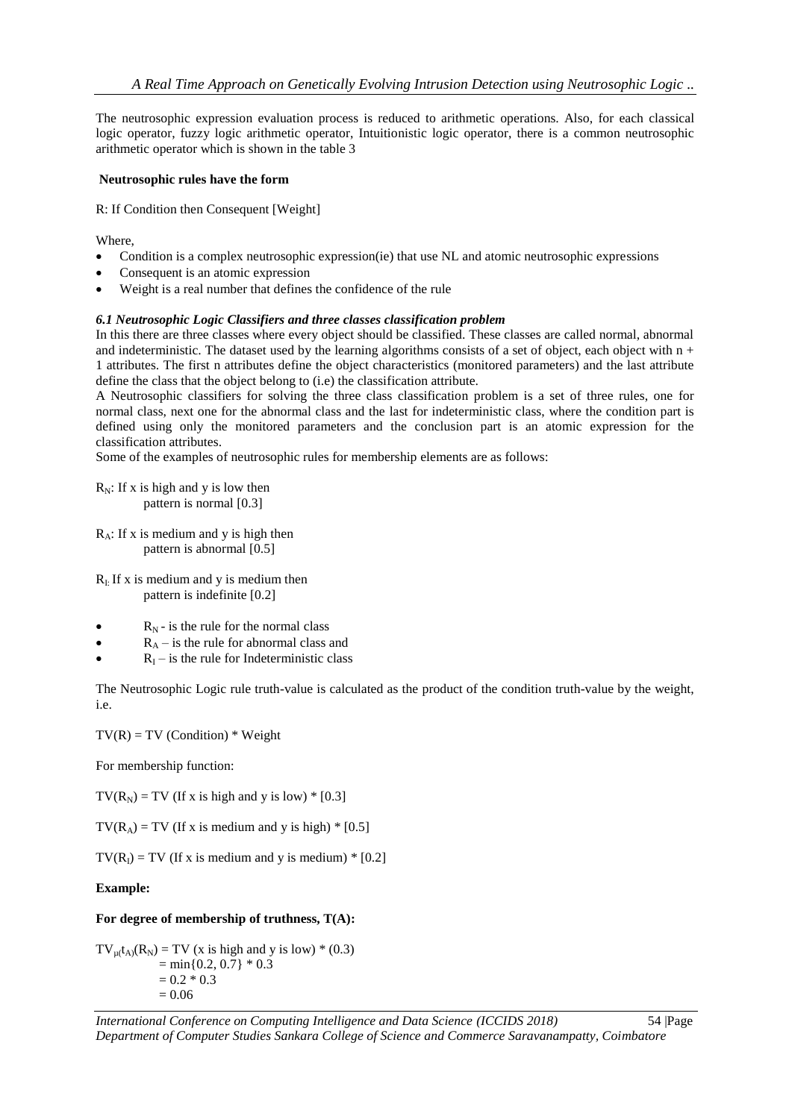The neutrosophic expression evaluation process is reduced to arithmetic operations. Also, for each classical logic operator, fuzzy logic arithmetic operator, Intuitionistic logic operator, there is a common neutrosophic arithmetic operator which is shown in the table 3

### **Neutrosophic rules have the form**

R: If Condition then Consequent [Weight]

Where,

- Condition is a complex neutrosophic expression(ie) that use NL and atomic neutrosophic expressions
- Consequent is an atomic expression
- Weight is a real number that defines the confidence of the rule

## *6.1 Neutrosophic Logic Classifiers and three classes classification problem*

In this there are three classes where every object should be classified. These classes are called normal, abnormal and indeterministic. The dataset used by the learning algorithms consists of a set of object, each object with  $n +$ 1 attributes. The first n attributes define the object characteristics (monitored parameters) and the last attribute define the class that the object belong to (i.e) the classification attribute.

A Neutrosophic classifiers for solving the three class classification problem is a set of three rules, one for normal class, next one for the abnormal class and the last for indeterministic class, where the condition part is defined using only the monitored parameters and the conclusion part is an atomic expression for the classification attributes.

Some of the examples of neutrosophic rules for membership elements are as follows:

```
R_N: If x is high and y is low then
pattern is normal [0.3]
```
 $R_A$ : If x is medium and y is high then pattern is abnormal [0.5]

 $R<sub>I</sub>$ : If x is medium and y is medium then pattern is indefinite [0.2]

- $R_N$  is the rule for the normal class
- $R_A$  is the rule for abnormal class and
- $R<sub>I</sub>$  is the rule for Indeterministic class

The Neutrosophic Logic rule truth-value is calculated as the product of the condition truth-value by the weight, i.e.

 $TV(R) = TV (Condition) * Weight$ 

For membership function:

 $TV(R_N) = TV$  (If x is high and y is low) \* [0.3]

 $TV(R_A) = TV$  (If x is medium and y is high) \* [0.5]

 $TV(R<sub>I</sub>) = TV$  (If x is medium and y is medium) \* [0.2]

#### **Example:**

#### **For degree of membership of truthness, T(A):**

 $TV_{\mu}(t_A)(R_N) = TV$  (x is high and y is low) \* (0.3)  $= min\{0.2, 0.7\} * 0.3$  $= 0.2 * 0.3$  $= 0.06$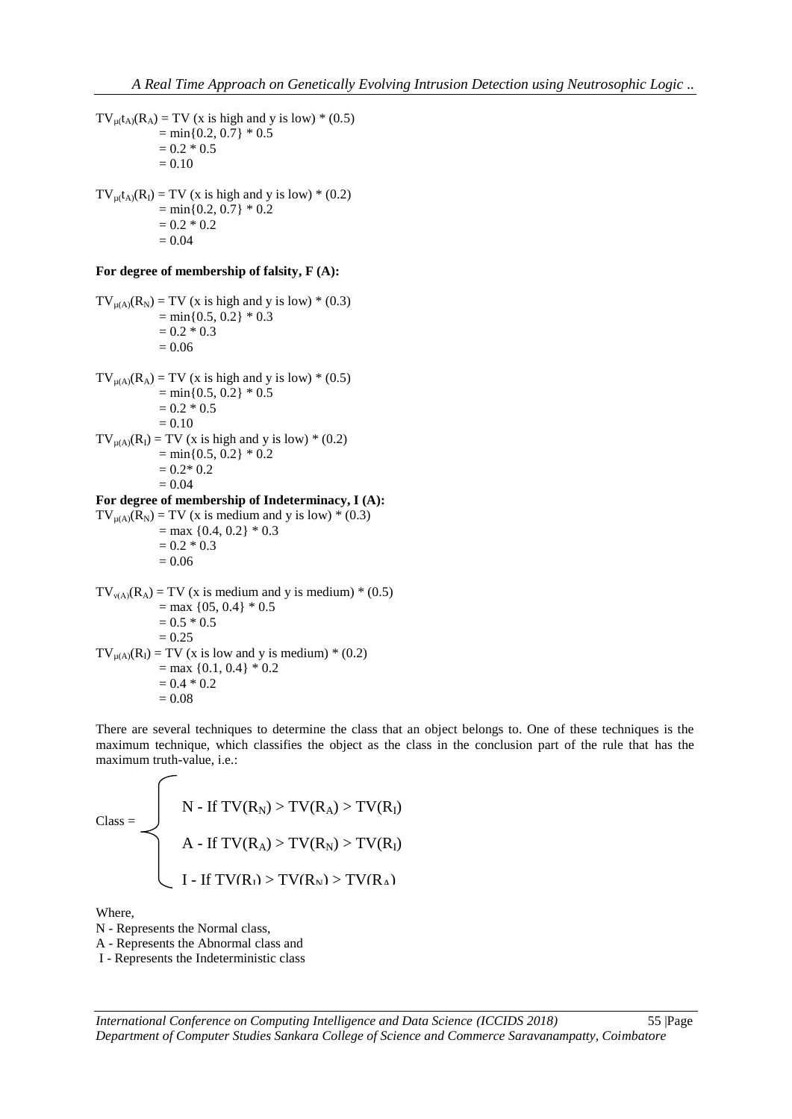$TV_{u}(k_A) = TV$  (x is high and y is low) \* (0.5)  $= min\{0.2, 0.7\} * 0.5$  $= 0.2 * 0.5$  $= 0.10$  $TV_{\mu}(t_A)(R_I) = TV$  (x is high and y is low) \* (0.2)  $= min\{0.2, 0.7\} * 0.2$  $= 0.2 * 0.2$  $= 0.04$ **For degree of membership of falsity, F (A):**   $TV_{u(A)}(R_N) = TV$  (x is high and y is low) \* (0.3)  $= min\{0.5, 0.2\} * 0.3$  $= 0.2 * 0.3$  $= 0.06$  $TV_{\mu(A)}(R_A) = TV$  (x is high and y is low) \* (0.5)  $= min\{0.5, 0.2\} * 0.5$  $= 0.2 * 0.5$  $= 0.10$  $TV_{\mu(A)}(R_I) = TV$  (x is high and y is low) \* (0.2)  $= min\{0.5, 0.2\} * 0.2$  $= 0.2 * 0.2$  $= 0.04$ **For degree of membership of Indeterminacy, I (A):**   $TV_{\mu(A)}(R_N) = TV$  (x is medium and y is low) \* (0.3)  $=$  max {0.4, 0.2}  $*$  0.3  $= 0.2 * 0.3$  $= 0.06$  $TV_{v(A)}(R_A) = TV$  (x is medium and y is medium) \* (0.5)  $=$  max {05, 0.4}  $*$  0.5  $= 0.5 * 0.5$  $= 0.25$  $TV_{\mu(A)}(R_1) = TV$  (x is low and y is medium) \* (0.2)  $=$  max {0.1, 0.4}  $*$  0.2  $= 0.4 * 0.2$  $= 0.08$ 

There are several techniques to determine the class that an object belongs to. One of these techniques is the maximum technique, which classifies the object as the class in the conclusion part of the rule that has the maximum truth-value, i.e.:

$$
\text{Class} = \left\{\begin{aligned} & \quad N \text{ - If } TV(R_N) > TV(R_A) > TV(R_I) \\ & \quad A \text{ - If } TV(R_A) > TV(R_N) > TV(R_I) \\ & \quad I \text{ - If } TV(R_I) > TV(R_N) > TV(R_A) \end{aligned} \right.
$$

Where,

N - Represents the Normal class,

N - Represents the Normal class,<br>A - Represents the Abnormal class and

I - Represents the Indeterministic class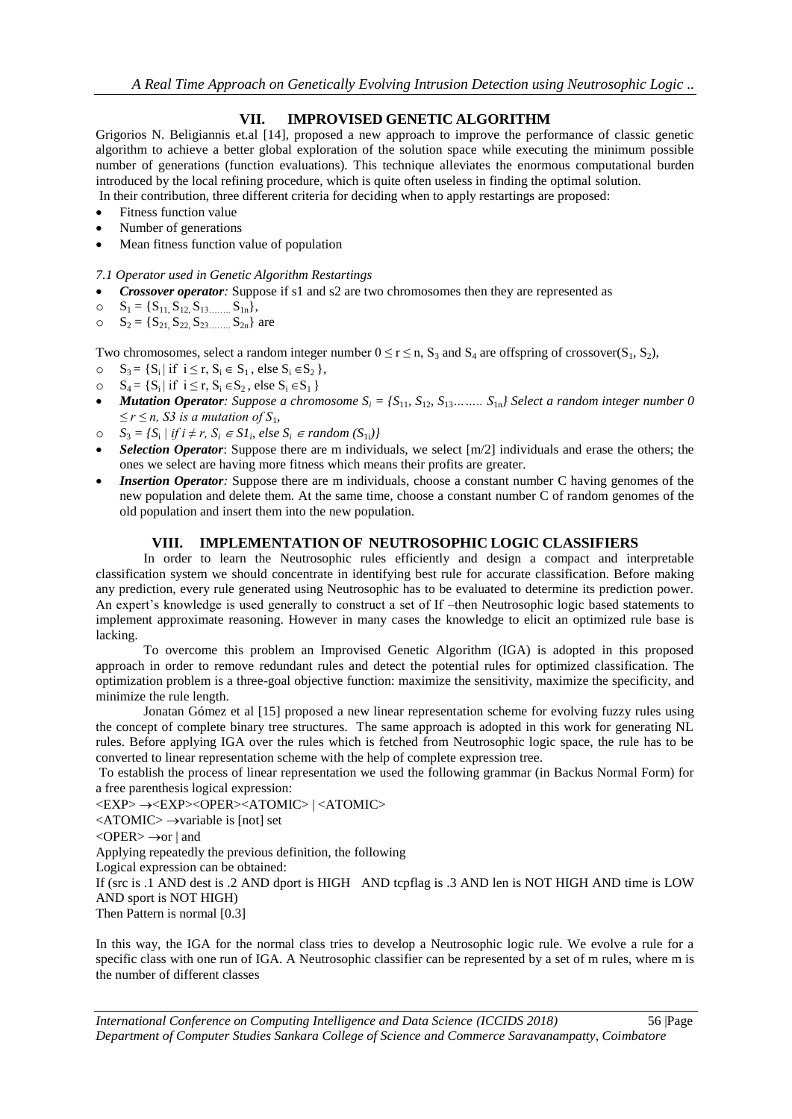# **VII. IMPROVISED GENETIC ALGORITHM**

Grigorios N. Beligiannis et.al [14], proposed a new approach to improve the performance of classic genetic algorithm to achieve a better global exploration of the solution space while executing the minimum possible number of generations (function evaluations). This technique alleviates the enormous computational burden introduced by the local refining procedure, which is quite often useless in finding the optimal solution.

In their contribution, three different criteria for deciding when to apply restartings are proposed:

- Fitness function value
- Number of generations
- Mean fitness function value of population

### *7.1 Operator used in Genetic Algorithm Restartings*

- *Crossover operator:* Suppose if s1 and s2 are two chromosomes then they are represented as
- o  $S_1 = \{S_{11}, S_{12}, S_{13}, \dots, S_{1n}\},\$
- $S_2 = \{S_{21}, S_{22}, S_{23} \dots S_{2n}\}\$ are

Two chromosomes, select a random integer number  $0 \le r \le n$ ,  $S_3$  and  $S_4$  are offspring of crossover( $S_1$ ,  $S_2$ ),

- o  $S_3 = \{S_i | \text{if } i \leq r, S_i \in S_1, \text{else } S_i \in S_2 \},\$
- o  $S_4 = \{S_i | \text{ if } i \leq r, S_i \in S_2, \text{ else } S_i \in S_1 \}$
- *Mutation Operator: Suppose a chromosome*  $S_i = \{S_{11}, S_{12}, S_{13}$ *……..*  $S_{1n}$  *Select a random integer number* 0  $≤ r ≤ n$ *, S3 is a mutation of S*<sub>1</sub>*,*
- o  $S_3 = {S_1 | if i ≠ r, S_i ∈ SI_i, else S_i ∈ random (S_{1i})}$
- *Selection Operator*: Suppose there are m individuals, we select [m/2] individuals and erase the others; the ones we select are having more fitness which means their profits are greater*.*
- *Insertion Operator*: Suppose there are m individuals, choose a constant number C having genomes of the new population and delete them. At the same time, choose a constant number C of random genomes of the old population and insert them into the new population.

## **VIII. IMPLEMENTATION OF NEUTROSOPHIC LOGIC CLASSIFIERS**

In order to learn the Neutrosophic rules efficiently and design a compact and interpretable classification system we should concentrate in identifying best rule for accurate classification. Before making any prediction, every rule generated using Neutrosophic has to be evaluated to determine its prediction power. An expert"s knowledge is used generally to construct a set of If –then Neutrosophic logic based statements to implement approximate reasoning. However in many cases the knowledge to elicit an optimized rule base is lacking.

To overcome this problem an Improvised Genetic Algorithm (IGA) is adopted in this proposed approach in order to remove redundant rules and detect the potential rules for optimized classification. The optimization problem is a three-goal objective function: maximize the sensitivity, maximize the specificity, and minimize the rule length.

Jonatan Gómez et al [15] proposed a new linear representation scheme for evolving fuzzy rules using the concept of complete binary tree structures. The same approach is adopted in this work for generating NL rules. Before applying IGA over the rules which is fetched from Neutrosophic logic space, the rule has to be converted to linear representation scheme with the help of complete expression tree.

To establish the process of linear representation we used the following grammar (in Backus Normal Form) for a free parenthesis logical expression:

<EXP> <EXP><OPER><ATOMIC> | <ATOMIC>

 $\langle ATOMIC \rangle \rightarrow$ variable is [not] set

 $\langle$ OPER $\rangle \rightarrow$ or | and

Applying repeatedly the previous definition, the following

Logical expression can be obtained:

If (src is .1 AND dest is .2 AND dport is HIGH AND tcpflag is .3 AND len is NOT HIGH AND time is LOW AND sport is NOT HIGH)

Then Pattern is normal [0.3]

In this way, the IGA for the normal class tries to develop a Neutrosophic logic rule. We evolve a rule for a specific class with one run of IGA. A Neutrosophic classifier can be represented by a set of m rules, where m is the number of different classes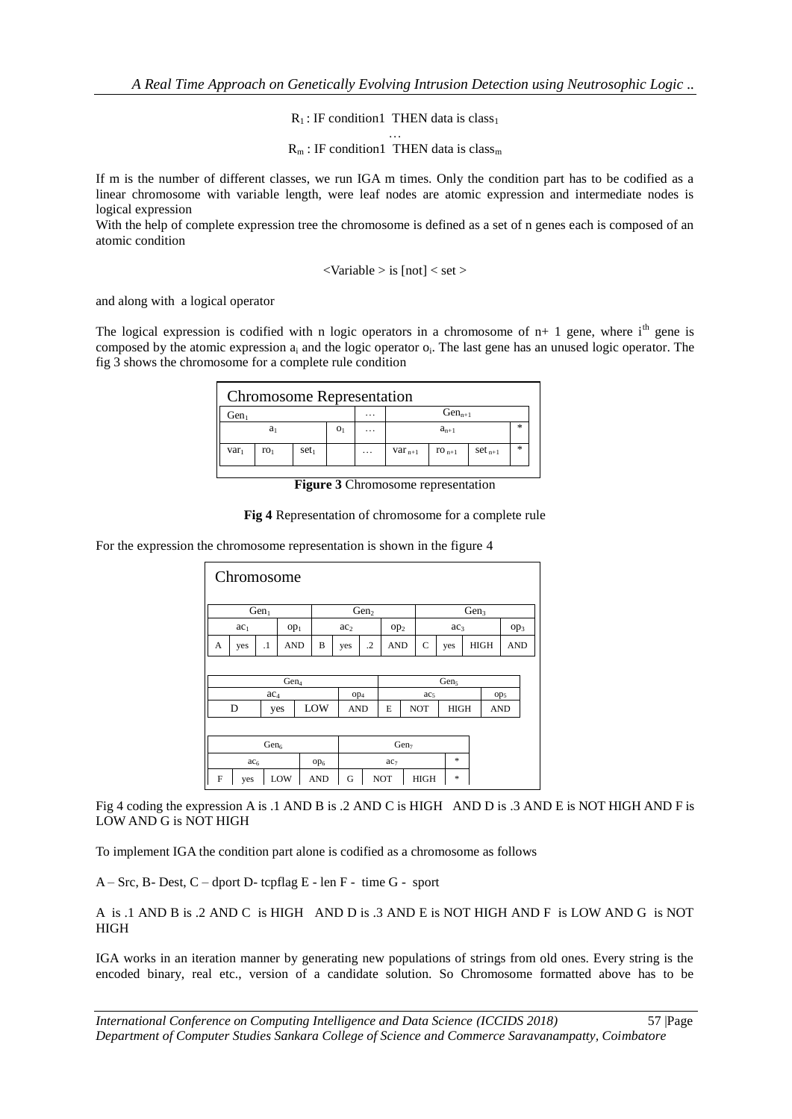$R_1$ : IF condition1 THEN data is class<sub>1</sub>

…  $R_m$ : IF condition1 THEN data is class<sub>m</sub>

If m is the number of different classes, we run IGA m times. Only the condition part has to be codified as a linear chromosome with variable length, were leaf nodes are atomic expression and intermediate nodes is logical expression

With the help of complete expression tree the chromosome is defined as a set of n genes each is composed of an atomic condition

 $\langle$ Variable  $>$  is [not]  $\langle$  set  $>$ 

and along with a logical operator

The logical expression is codified with n logic operators in a chromosome of  $n+1$  gene, where i<sup>th</sup> gene is composed by the atomic expression  $a_i$  and the logic operator  $o_i$ . The last gene has an unused logic operator. The fig 3 shows the chromosome for a complete rule condition

| <b>Chromosome Representation</b> |                 |                  |  |                      |             |            |             |   |  |  |
|----------------------------------|-----------------|------------------|--|----------------------|-------------|------------|-------------|---|--|--|
| Gen                              |                 |                  |  | $\ddotsc$            | $Gen_{n+1}$ |            |             |   |  |  |
| $a_1$<br>O <sub>1</sub>          |                 |                  |  | $\sim$ $\sim$ $\sim$ | $a_{n+1}$   |            |             |   |  |  |
| var <sub>1</sub>                 | ro <sub>1</sub> | set <sub>1</sub> |  | $\cdot$ $\cdot$      | $var_{n+1}$ | $TO_{n+1}$ | $set_{n+1}$ | 冰 |  |  |

**Figure 3** Chromosome representation

#### **Fig 4** Representation of chromosome for a complete rule

For the expression the chromosome representation is shown in the figure 4

| Chromosome       |                                    |           |            |     |                 |                  |                                |                  |  |                  |            |  |                           |                 |  |
|------------------|------------------------------------|-----------|------------|-----|-----------------|------------------|--------------------------------|------------------|--|------------------|------------|--|---------------------------|-----------------|--|
| Gen <sub>1</sub> |                                    |           |            |     |                 | Gen <sub>2</sub> |                                |                  |  | Gen <sub>3</sub> |            |  |                           |                 |  |
|                  | ac <sub>1</sub><br>op <sub>1</sub> |           |            |     | ac <sub>2</sub> |                  |                                | op <sub>2</sub>  |  | ac <sub>3</sub>  |            |  |                           | Op <sub>3</sub> |  |
| A                | yes                                | $\cdot$ 1 | <b>AND</b> |     | B               | yes              | $\cdot$                        | <b>AND</b>       |  | $\mathbf C$      | yes        |  | <b>HIGH</b><br><b>AND</b> |                 |  |
|                  |                                    |           |            |     |                 |                  |                                |                  |  |                  |            |  |                           |                 |  |
|                  | Gens<br>Gen <sub>4</sub>           |           |            |     |                 |                  |                                |                  |  |                  |            |  |                           |                 |  |
|                  | ac <sub>4</sub>                    |           |            |     |                 | op <sub>4</sub>  |                                | ac <sub>5</sub>  |  |                  |            |  | op <sub>5</sub>           |                 |  |
|                  | D<br>yes                           |           |            | LOW | <b>AND</b>      |                  | <b>NOT</b><br><b>HIGH</b><br>E |                  |  |                  | <b>AND</b> |  |                           |                 |  |
|                  |                                    |           |            |     |                 |                  |                                |                  |  |                  |            |  |                           |                 |  |
| Gen <sub>6</sub> |                                    |           |            |     |                 |                  |                                | Gen <sub>7</sub> |  |                  |            |  |                           |                 |  |
|                  | ac <sub>6</sub>                    |           |            |     | op <sub>6</sub> | ac <sub>7</sub>  |                                |                  |  | $\ast$           |            |  |                           |                 |  |
| F                | yes                                |           | LOW        |     | <b>AND</b>      | G                |                                | <b>NOT</b>       |  | <b>HIGH</b><br>* |            |  |                           |                 |  |

Fig 4 coding the expression A is .1 AND B is .2 AND C is HIGH AND D is .3 AND E is NOT HIGH AND F is LOW AND G is NOT HIGH

To implement IGA the condition part alone is codified as a chromosome as follows

A – Src, B- Dest, C – dport D- tcpflag E - len F - time G - sport

A is .1 AND B is .2 AND C is HIGH AND D is .3 AND E is NOT HIGH AND F is LOW AND G is NOT **HIGH** 

IGA works in an iteration manner by generating new populations of strings from old ones. Every string is the encoded binary, real etc., version of a candidate solution. So Chromosome formatted above has to be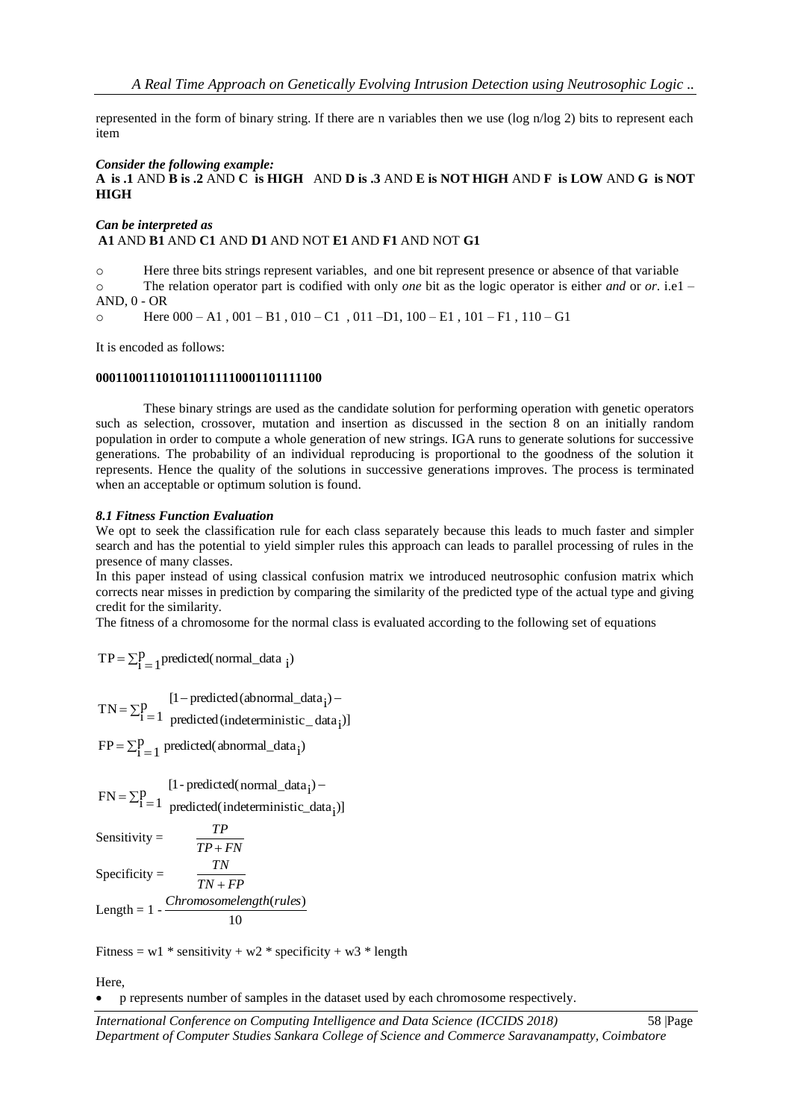represented in the form of binary string. If there are n variables then we use (log n/log 2) bits to represent each item

#### *Consider the following example:*

### **A is .1** AND **B is .2** AND **C is HIGH** AND **D is .3** AND **E is NOT HIGH** AND **F is LOW** AND **G is NOT HIGH**

#### *Can be interpreted as*  **A1** AND **B1** AND **C1** AND **D1** AND NOT **E1** AND **F1** AND NOT **G1**

o Here three bits strings represent variables, and one bit represent presence or absence of that variable o The relation operator part is codified with only *one* bit as the logic operator is either *and* or *or*. i.e1 – AND, 0 - OR

 $\circ$  Here 000 – A1, 001 – B1, 010 – C1, 011 – D1, 100 – E1, 101 – F1, 110 – G1

It is encoded as follows:

#### **0001100111010110111110001101111100**

These binary strings are used as the candidate solution for performing operation with genetic operators such as selection, crossover, mutation and insertion as discussed in the section 8 on an initially random population in order to compute a whole generation of new strings. IGA runs to generate solutions for successive generations. The probability of an individual reproducing is proportional to the goodness of the solution it represents. Hence the quality of the solutions in successive generations improves. The process is terminated when an acceptable or optimum solution is found.

#### *8.1 Fitness Function Evaluation*

We opt to seek the classification rule for each class separately because this leads to much faster and simpler search and has the potential to yield simpler rules this approach can leads to parallel processing of rules in the presence of many classes.

In this paper instead of using classical confusion matrix we introduced neutrosophic confusion matrix which corrects near misses in prediction by comparing the similarity of the predicted type of the actual type and giving credit for the similarity.

The fitness of a chromosome for the normal class is evaluated according to the following set of equations

 $P_{1}$  predicted(normal\_data ;)  $TP = \sum_{i=1}^{p}$  predicted(normal\_data  $\sum_{i=1}^{p}$ 

 $\Sigma_{1}^{\text{p}}$  $-predicted(abnormal_data_i)$  –  $=\sum P$  $i = 1$  predicted (indeterministic  $\text{data}_i$ )  $TN = \sum_{i=1}^{p}$  predicted (abnormal\_data<sub>i</sub>)

 $P_{i-1}$  predicted(abnormal\_data;)  $FP = \sum_{i=1}^{p}$  predicted(abnormal\_data<sub>i</sub>

$$
FN = \sum_{i=1}^{p} \frac{[1-\text{predicted}(\text{normal\_data}_i) - \text{predicted}(\text{indeterminate\_data}_i)]}{\text{predicted}(\text{indeterminate\_data}_i)}
$$

*TP FN TP*

Sensitivity  $=$ 

Specificity  $=$ *TN FP TN*  $^{+}$ 

Length =  $1 - \frac{C_{11}C_{21}C_{31}C_{41}}{10}$ *Chromosomelength*(*rules*)

Fitness = w1  $*$  sensitivity + w2  $*$  specificity + w3  $*$  length

Here,

p represents number of samples in the dataset used by each chromosome respectively.

*International Conference on Computing Intelligence and Data Science (ICCIDS 2018)*58 |Page *Department of Computer Studies Sankara College of Science and Commerce Saravanampatty, Coimbatore*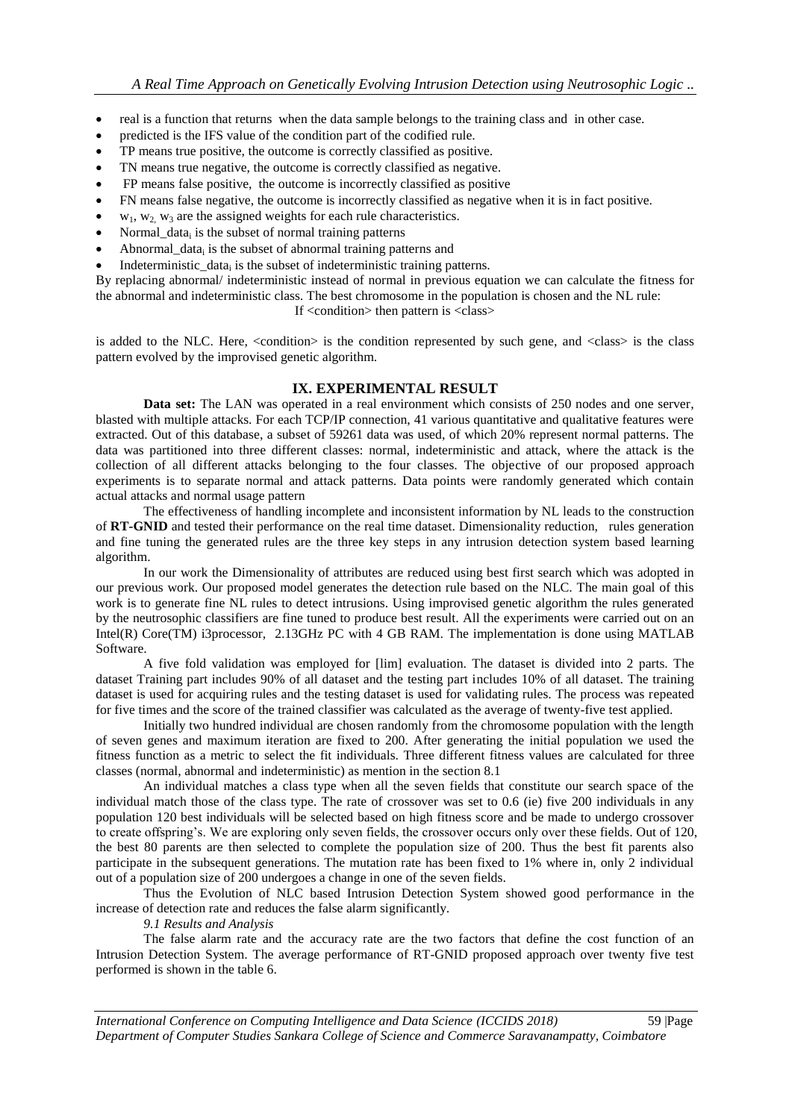- real is a function that returns when the data sample belongs to the training class and in other case.
- predicted is the IFS value of the condition part of the codified rule.
- TP means true positive, the outcome is correctly classified as positive.
- TN means true negative, the outcome is correctly classified as negative.
- FP means false positive, the outcome is incorrectly classified as positive
- FN means false negative, the outcome is incorrectly classified as negative when it is in fact positive.
- $w_1, w_2, w_3$  are the assigned weights for each rule characteristics.
- Normal\_data<sub>i</sub> is the subset of normal training patterns
- $\bullet$  Abnormal\_data<sub>i</sub> is the subset of abnormal training patterns and
- Indeterministic\_data<sub>i</sub> is the subset of indeterministic training patterns.

By replacing abnormal/ indeterministic instead of normal in previous equation we can calculate the fitness for the abnormal and indeterministic class. The best chromosome in the population is chosen and the NL rule:

If <condition> then pattern is <class>

is added to the NLC. Here, <condition> is the condition represented by such gene, and <class> is the class pattern evolved by the improvised genetic algorithm.

## **IX. EXPERIMENTAL RESULT**

**Data set:** The LAN was operated in a real environment which consists of 250 nodes and one server, blasted with multiple attacks. For each TCP/IP connection, 41 various quantitative and qualitative features were extracted. Out of this database, a subset of 59261 data was used, of which 20% represent normal patterns. The data was partitioned into three different classes: normal, indeterministic and attack, where the attack is the collection of all different attacks belonging to the four classes. The objective of our proposed approach experiments is to separate normal and attack patterns. Data points were randomly generated which contain actual attacks and normal usage pattern

The effectiveness of handling incomplete and inconsistent information by NL leads to the construction of **RT-GNID** and tested their performance on the real time dataset. Dimensionality reduction, rules generation and fine tuning the generated rules are the three key steps in any intrusion detection system based learning algorithm.

In our work the Dimensionality of attributes are reduced using best first search which was adopted in our previous work. Our proposed model generates the detection rule based on the NLC. The main goal of this work is to generate fine NL rules to detect intrusions. Using improvised genetic algorithm the rules generated by the neutrosophic classifiers are fine tuned to produce best result. All the experiments were carried out on an Intel(R) Core(TM) i3processor, 2.13GHz PC with 4 GB RAM. The implementation is done using MATLAB Software.

A five fold validation was employed for [lim] evaluation. The dataset is divided into 2 parts. The dataset Training part includes 90% of all dataset and the testing part includes 10% of all dataset. The training dataset is used for acquiring rules and the testing dataset is used for validating rules. The process was repeated for five times and the score of the trained classifier was calculated as the average of twenty-five test applied.

Initially two hundred individual are chosen randomly from the chromosome population with the length of seven genes and maximum iteration are fixed to 200. After generating the initial population we used the fitness function as a metric to select the fit individuals. Three different fitness values are calculated for three classes (normal, abnormal and indeterministic) as mention in the section 8.1

An individual matches a class type when all the seven fields that constitute our search space of the individual match those of the class type. The rate of crossover was set to 0.6 (ie) five 200 individuals in any population 120 best individuals will be selected based on high fitness score and be made to undergo crossover to create offspring"s. We are exploring only seven fields, the crossover occurs only over these fields. Out of 120, the best 80 parents are then selected to complete the population size of 200. Thus the best fit parents also participate in the subsequent generations. The mutation rate has been fixed to 1% where in, only 2 individual out of a population size of 200 undergoes a change in one of the seven fields.

Thus the Evolution of NLC based Intrusion Detection System showed good performance in the increase of detection rate and reduces the false alarm significantly.

*9.1 Results and Analysis*

The false alarm rate and the accuracy rate are the two factors that define the cost function of an Intrusion Detection System. The average performance of RT-GNID proposed approach over twenty five test performed is shown in the table 6.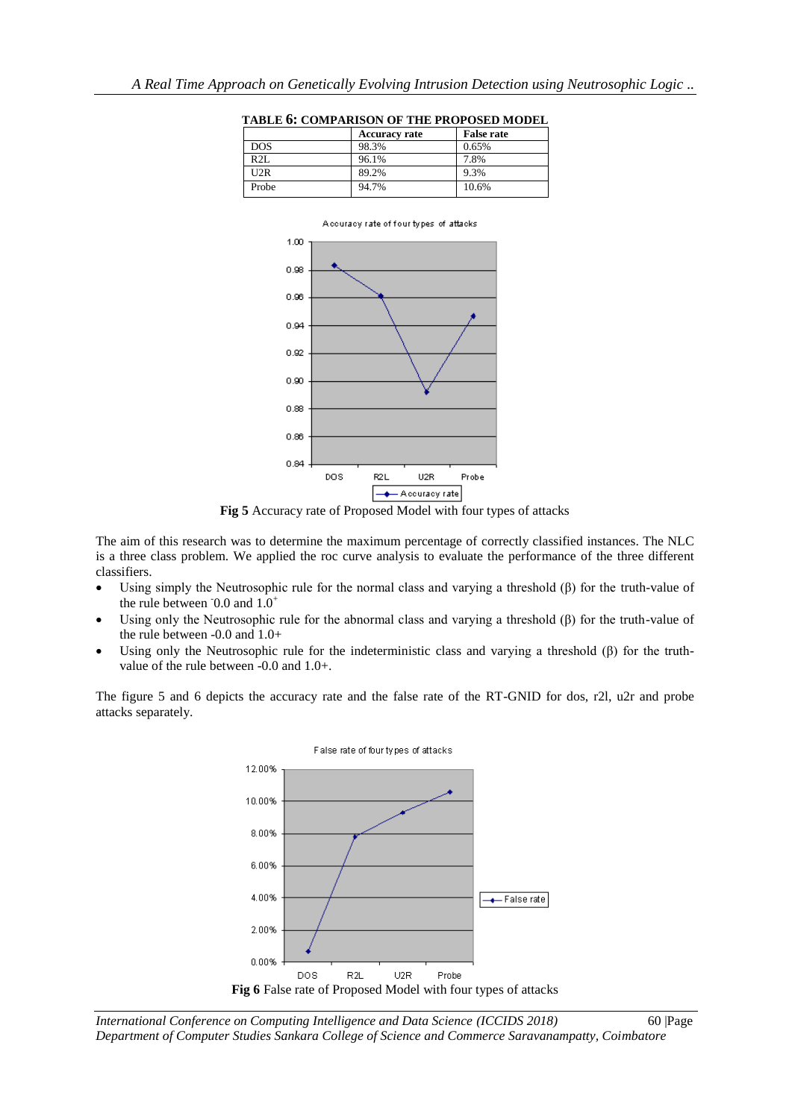**Accuracy rate False rate**



**TABLE 6: COMPARISON OF THE PROPOSED MODEL**

DOS 98.3% 0.65% R2L 96.1% 7.8% U2R 89.2% 9.3% Probe 94.7% 10.6%

**Fig 5** Accuracy rate of Proposed Model with four types of attacks

The aim of this research was to determine the maximum percentage of correctly classified instances. The NLC is a three class problem. We applied the roc curve analysis to evaluate the performance of the three different classifiers.

- Using simply the Neutrosophic rule for the normal class and varying a threshold (β) for the truth-value of the rule between  $0.0$  and  $1.0^+$
- Using only the Neutrosophic rule for the abnormal class and varying a threshold (β) for the truth-value of the rule between -0.0 and 1.0+
- Using only the Neutrosophic rule for the indeterministic class and varying a threshold  $(\beta)$  for the truthvalue of the rule between -0.0 and 1.0+.

The figure 5 and 6 depicts the accuracy rate and the false rate of the RT-GNID for dos, r2l, u2r and probe attacks separately.



*International Conference on Computing Intelligence and Data Science (ICCIDS 2018)*60 |Page *Department of Computer Studies Sankara College of Science and Commerce Saravanampatty, Coimbatore*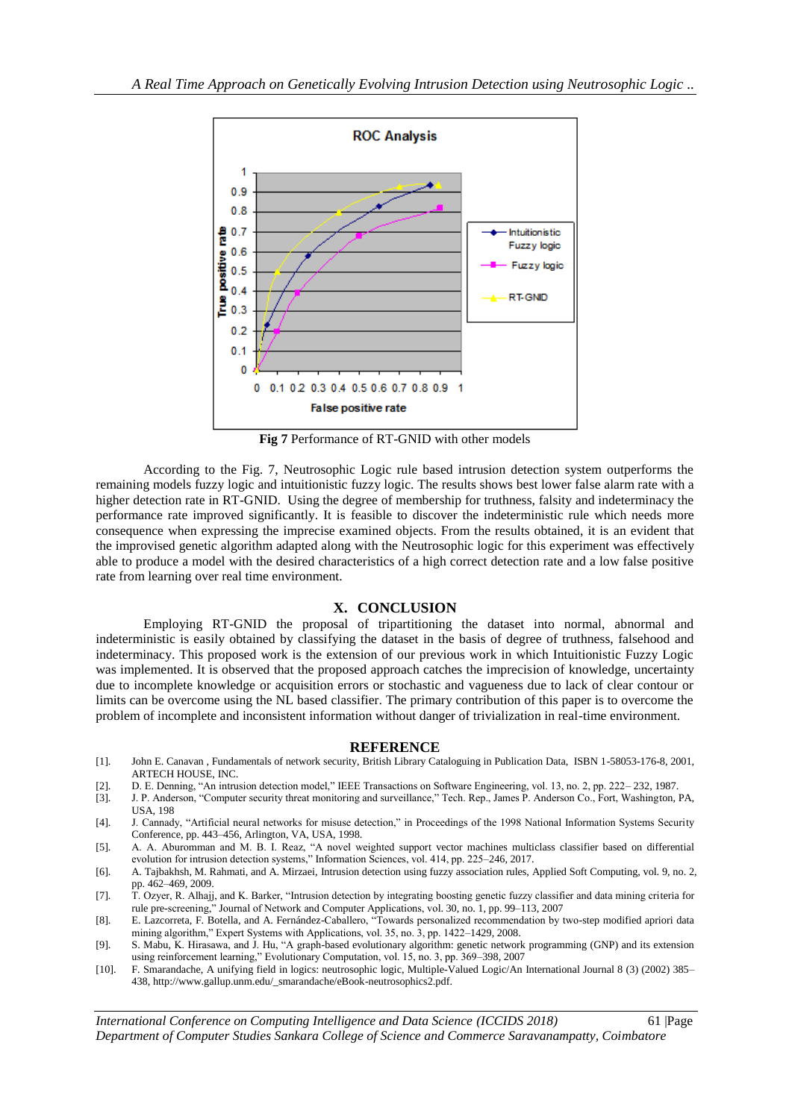

**Fig 7** Performance of RT-GNID with other models

According to the Fig. 7, Neutrosophic Logic rule based intrusion detection system outperforms the remaining models fuzzy logic and intuitionistic fuzzy logic. The results shows best lower false alarm rate with a higher detection rate in RT-GNID. Using the degree of membership for truthness, falsity and indeterminacy the performance rate improved significantly. It is feasible to discover the indeterministic rule which needs more consequence when expressing the imprecise examined objects. From the results obtained, it is an evident that the improvised genetic algorithm adapted along with the Neutrosophic logic for this experiment was effectively able to produce a model with the desired characteristics of a high correct detection rate and a low false positive rate from learning over real time environment.

### **X. CONCLUSION**

Employing RT-GNID the proposal of tripartitioning the dataset into normal, abnormal and indeterministic is easily obtained by classifying the dataset in the basis of degree of truthness, falsehood and indeterminacy. This proposed work is the extension of our previous work in which Intuitionistic Fuzzy Logic was implemented. It is observed that the proposed approach catches the imprecision of knowledge, uncertainty due to incomplete knowledge or acquisition errors or stochastic and vagueness due to lack of clear contour or limits can be overcome using the NL based classifier. The primary contribution of this paper is to overcome the problem of incomplete and inconsistent information without danger of trivialization in real-time environment.

#### **REFERENCE**

- [1]. John E. Canavan , Fundamentals of network security, British Library Cataloguing in Publication Data, ISBN 1-58053-176-8, 2001, ARTECH HOUSE, INC.
- [2]. D. E. Denning, "An intrusion detection model," IEEE Transactions on Software Engineering, vol. 13, no. 2, pp. 222– 232, 1987.
- [3]. J. P. Anderson, "Computer security threat monitoring and surveillance," Tech. Rep., James P. Anderson Co., Fort, Washington, PA, USA, 198
- [4]. J. Cannady, "Artificial neural networks for misuse detection," in Proceedings of the 1998 National Information Systems Security Conference, pp. 443–456, Arlington, VA, USA, 1998.
- [5]. A. A. Aburomman and M. B. I. Reaz, "A novel weighted support vector machines multiclass classifier based on differential evolution for intrusion detection systems," Information Sciences, vol. 414, pp. 225–246, 2017.
- [6]. A. Tajbakhsh, M. Rahmati, and A. Mirzaei, Intrusion detection using fuzzy association rules, Applied Soft Computing, vol. 9, no. 2, pp. 462–469, 2009.
- [7]. T. Ozyer, R. Alhajj, and K. Barker, "Intrusion detection by integrating boosting genetic fuzzy classifier and data mining criteria for rule pre-screening," Journal of Network and Computer Applications, vol. 30, no. 1, pp. 99–113, 2007
- [8]. E. Lazcorreta, F. Botella, and A. Fernández-Caballero, "Towards personalized recommendation by two-step modified apriori data mining algorithm," Expert Systems with Applications, vol. 35, no. 3, pp. 1422–1429, 2008.
- [9]. S. Mabu, K. Hirasawa, and J. Hu, "A graph-based evolutionary algorithm: genetic network programming (GNP) and its extension using reinforcement learning," Evolutionary Computation, vol. 15, no. 3, pp. 369–398, 2007
- [10]. F. Smarandache, A unifying field in logics: neutrosophic logic, Multiple-Valued Logic/An International Journal 8 (3) (2002) 385– 438[, http://www.gallup.unm.edu/\\_smarandache/eBook-neutrosophics2.pdf.](http://www.gallup.unm.edu/_smarandache/eBook-neutrosophics2.pdf)

*International Conference on Computing Intelligence and Data Science (ICCIDS 2018)*61 |Page *Department of Computer Studies Sankara College of Science and Commerce Saravanampatty, Coimbatore*